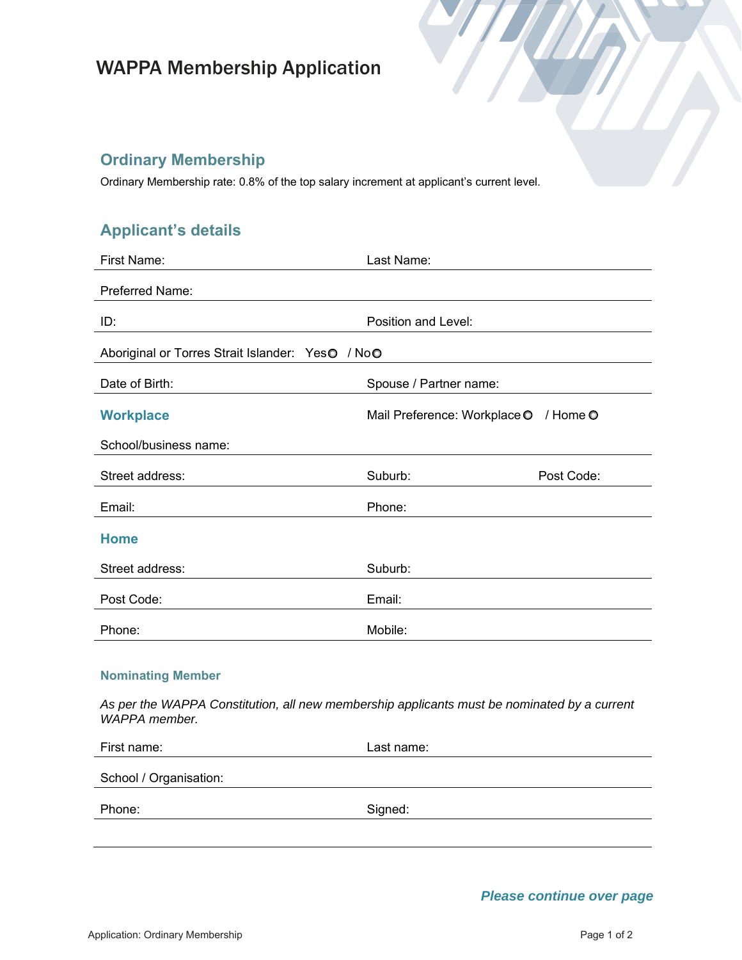# WAPPA Membership Application

### **Ordinary Membership**

Ordinary Membership rate: 0.8% of the top salary increment at applicant's current level.

## **Applicant's details**

| First Name:                                                                                | Last Name:                               |  |  |
|--------------------------------------------------------------------------------------------|------------------------------------------|--|--|
| Preferred Name:                                                                            |                                          |  |  |
| ID:                                                                                        | Position and Level:                      |  |  |
| Aboriginal or Torres Strait Islander: YesO / NoO                                           |                                          |  |  |
| Date of Birth:                                                                             | Spouse / Partner name:                   |  |  |
| <b>Workplace</b>                                                                           | Mail Preference: Workplace O<br>/ Home O |  |  |
| School/business name:                                                                      |                                          |  |  |
| Street address:                                                                            | Suburb:<br>Post Code:                    |  |  |
| Email:                                                                                     | Phone:                                   |  |  |
| <b>Home</b>                                                                                |                                          |  |  |
| Street address:                                                                            | Suburb:                                  |  |  |
| Post Code:                                                                                 | Email:                                   |  |  |
| Phone:                                                                                     | Mobile:                                  |  |  |
| <b>Nominating Member</b>                                                                   |                                          |  |  |
| As nor the WADDA Constitution all now membership applicants must be nominated by a current |                                          |  |  |

*As per the WAPPA Constitution, all new membership applicants must be nominated by a current WAPPA member.*

| First name:            | Last name: |
|------------------------|------------|
| School / Organisation: |            |
| Phone:                 | Signed:    |
|                        |            |

*Please continue over page*